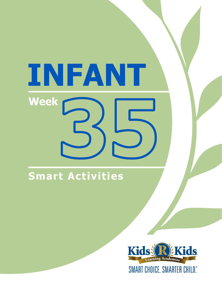# INFANT **Week**

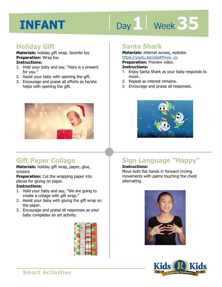# Day 1 | Week 35

#### **Holiday Gift**

**Materials:** holiday gift wrap, favorite toy **Preparation:** Wrap toy.

#### **Instructions:**

- 1. Hold your baby and say, "Here is a present for you."
- 2. Assist your baby with opening the gift.
- 3. Encourage and praise all efforts as he/she helps with opening the gift.



#### **Gift Paper Collage**

**Materials:** holiday gift wrap, paper, glue, scissors

**Preparation:** Cut the wrapping paper into pieces for gluing on paper.

#### **Instructions:**

- 1. Hold your baby and say, "We are going to create a collage with gift wrap."
- 2. Assist your baby with gluing the gift wrap on the paper.
- 3. Encourage and praise all responses as your baby completes an art activity.



#### **Santa Shark**

**Materials:** internet access, website: https://youtu.be/u0aAMvvw\_co

**Preparation:** Preview video.

#### **Instructions:**

- <u>IRtps.//youtd.be/doakthow\_co</u><br>**Preparation:** Preview video.<br>1. Enjoy Santa Shark as your baby responds to music.
- 2. Repeat as interest remains.
- 3. Encourage and praise all responses.



### **Sign Language "Happy"**

#### **Instructions:**

Move both flat hands in forward circling movements with palms touching the chest alternating.



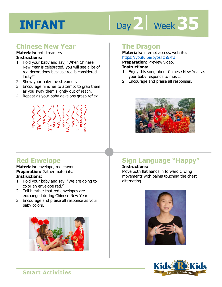# Day 2 **Week 35**

#### **Chinese New Year**

#### **Materials:** red streamers **Instructions:**

- 1. Hold your baby and say, "When Chinese New Year is celebrated, you will see a lot of red decorations because red is considered lucky?"
- 2. Show your baby the streamers
- 3. Encourage him/her to attempt to grab them as you sway them slightly out of reach.
- 4. Repeat as your baby develops grasp reflex.



#### **The Dragon**

**Materials:** internet access, website: https://youtu.be/by5sTzh67fU

**Preparation: Preview video.** 

#### **Instructions:**

- <u>IRCDS.//youtu.be/by5stzno7ro</u><br>**Preparation:** Preview video.<br>1. Enjoy this song about Chinese New Year as your baby responds to music.
- 2. Encourage and praise all responses.



#### **Red Envelope**

**Materials:** envelope, red crayon **Preparation:** Gather materials. **Instructions:** 

- 1. Hold your baby and say, "We are going to color an envelope red."
- 2. Tell him/her that red envelopes are exchanged during Chinese New Year.
- 3. Encourage and praise all response as your baby colors.



### **Sign Language "Happy"**

#### **Instructions:**

Move both flat hands in forward circling movements with palms touching the chest alternating.



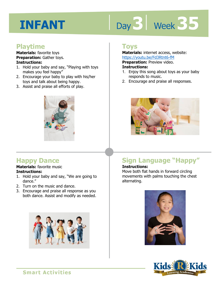# Day 3 | Week 35

#### **Playtime**

**Materials:** favorite toys **Preparation:** Gather toys. **Instructions:** 

- 1. Hold your baby and say, "Playing with toys makes you feel happy"
- 2. Encourage your baby to play with his/her toys and talk about being happy.
- 3. Assist and praise all efforts of play.



#### **Happy Dance**

#### **Materials:** favorite music **Instructions:**

- 1. Hold your baby and say, "We are going to dance."
- 2. Turn on the music and dance.
- 3. Encourage and praise all response as you both dance. Assist and modify as needed.



#### **Toys**

**Materials:** internet access, website: https://youtu.be/Fd3Rtnt6-fM

**Preparation:** Preview video.

#### **Instructions:**

- **1 4**  1. Enjoy this song about toys as your baby responds to music.
- 2. Encourage and praise all responses.



### **Sign Language "Happy"**

#### **Instructions:**

Move both flat hands in forward circling movements with palms touching the chest alternating.



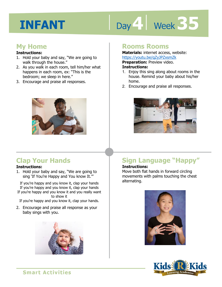# Day 4 Week 35

#### **My Home**

#### **Instructions:**

- 1. Hold your baby and say, "We are going to walk through the house."
- 2. As you walk in each room, tell him/her what happens in each room, ex: "This is the bedroom; we sleep in here."
- 3. Encourage and praise all responses.



#### **Clap Your Hands**

#### **Instructions:**

1. Hold your baby and say, "We are going to sing 'If You're Happy and You know It.'"

If you're happy and you know it, clap your hands If you're happy and you know it, clap your hands If you're happy and you know it and you really want to show it

If you're happy and you know it, clap your hands.

2. Encourage and praise all response as your baby sings with you.



#### **Rooms Rooms**

**Materials:** internet access, website: https://youtu.be/qZyJPZxsmZk

**Preparation: Preview video.** 

#### **Instructions:**

- **Intps.//youtd.be/qzychexament**<br>**Preparation:** Preview video.<br>1. Enjoy this sing along about rooms in the house. Remind your baby about his/her home.
- 2. Encourage and praise all responses.



### **Sign Language "Happy"**

#### **Instructions:**

Move both flat hands in forward circling movements with palms touching the chest alternating.